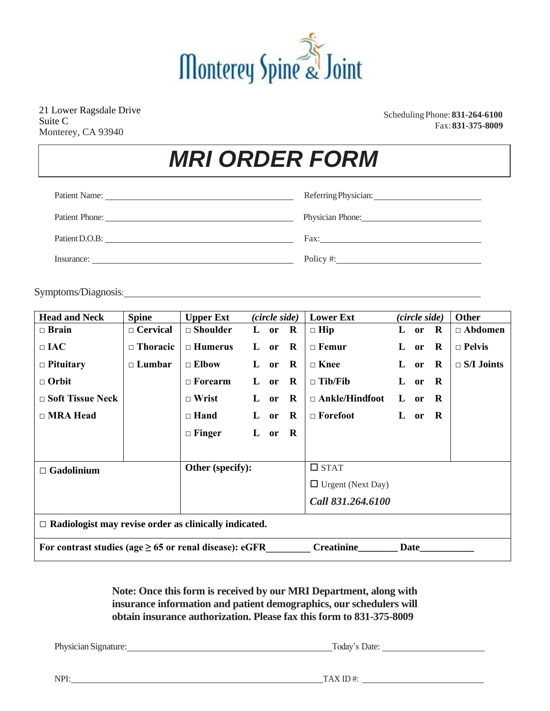

21 Lower Ragsdale Drive Suite C Monterey, CA 93940

Scheduling Phone: **831-264-6100** Fax: **831-375-8009**

# *MRI ORDER FORM*

| Patient Name:  |                                                                                                                                                                                                                                |
|----------------|--------------------------------------------------------------------------------------------------------------------------------------------------------------------------------------------------------------------------------|
| Patient Phone: | Physician Phone: 2008                                                                                                                                                                                                          |
| Patient D.O.B: | Fax: The contract of the contract of the contract of the contract of the contract of the contract of the contract of the contract of the contract of the contract of the contract of the contract of the contract of the contr |
| Insurance:     | Policy #:                                                                                                                                                                                                                      |

Symptoms/Diagnosis:

| <b>Head and Neck</b>                                                                     | <b>Spine</b>    | <b>Upper Ext</b> | (circle side) |                |              | <b>Lower Ext</b>         | (circle side) |        |             | Other             |
|------------------------------------------------------------------------------------------|-----------------|------------------|---------------|----------------|--------------|--------------------------|---------------|--------|-------------|-------------------|
| $\Box$ Brain                                                                             | $\Box$ Cervical | $\Box$ Shoulder  |               | $L$ or $R$     |              | $\Box$ Hip               |               | L or   | $\mathbf R$ | $\Box$ Abdomen    |
| $\square$ IAC                                                                            | $\Box$ Thoracic | $\Box$ Humerus   | L             | or             | $\mathbf R$  | $\Box$ Femur             | L             | or     | $\mathbf R$ | $\Box$ Pelvis     |
| $\Box$ Pituitary                                                                         | $\Box$ Lumbar   | $\Box$ Elbow     | L             | or $\mathbf R$ |              | $\Box$ Knee              |               | $L$ or | $\mathbf R$ | $\Box$ S/I Joints |
| $\Box$ Orbit                                                                             |                 | $\Box$ Forearm   | L             | $or$ R         |              | $\Box$ Tib/Fib           | L             | or R   |             |                   |
| $\Box$ Soft Tissue Neck                                                                  |                 | $\Box$ Wrist     | L             | or $\mathbf R$ |              | $\Box$ Ankle/Hindfoot    |               | $L$ or | R           |                   |
| $\Box$ MRA Head                                                                          |                 | $\Box$ Hand      | L             | or $\mathbf R$ |              | $\Box$ Forefoot          |               | L or   | R.          |                   |
|                                                                                          |                 | $\Box$ Finger    | L             | <b>or</b>      | $\mathbf{R}$ |                          |               |        |             |                   |
|                                                                                          |                 |                  |               |                |              |                          |               |        |             |                   |
| $\Box$ Gadolinium                                                                        |                 | Other (specify): |               |                | $\Box$ STAT  |                          |               |        |             |                   |
|                                                                                          |                 |                  |               |                |              | $\Box$ Urgent (Next Day) |               |        |             |                   |
|                                                                                          |                 |                  |               |                |              | Call 831.264.6100        |               |        |             |                   |
| $\Box$ Radiologist may revise order as clinically indicated.                             |                 |                  |               |                |              |                          |               |        |             |                   |
| For contrast studies (age $\geq$ 65 or renal disease): eGFR<br><b>Creatinine</b><br>Date |                 |                  |               |                |              |                          |               |        |             |                   |

**Note: Once this form is received by our MRI Department, along with insurance information and patient demographics, our schedulers will obtain insurance authorization. Please fax this form to 831-375-8009**

Physician Signature: Today's Date: Today's Date:

NPI: TAX ID #: